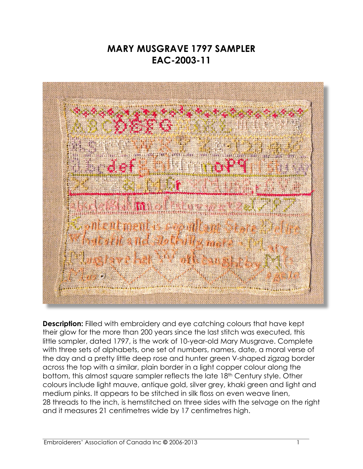## **MARY MUSGRAVE 1797 SAMPLER EAC-2003-11**



**Description:** Filled with embroidery and eye catching colours that have kept their glow for the more than 200 years since the last stitch was executed, this little sampler, dated 1797, is the work of 10-year-old Mary Musgrave. Complete with three sets of alphabets, one set of numbers, names, date, a moral verse of the day and a pretty little deep rose and hunter green V-shaped zigzag border across the top with a similar, plain border in a light copper colour along the bottom, this almost square sampler reflects the late 18th Century style. Other colours include light mauve, antique gold, silver grey, khaki green and light and medium pinks. It appears to be stitched in silk floss on even weave linen, 28 threads to the inch, is hemstitched on three sides with the selvage on the right and it measures 21 centimetres wide by 17 centimetres high.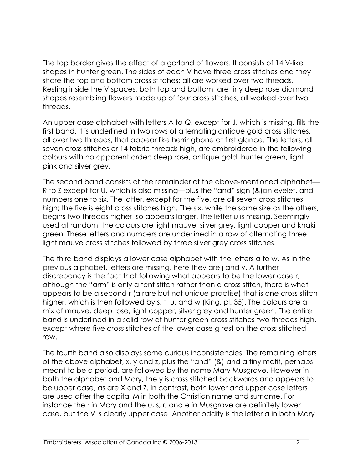The top border gives the effect of a garland of flowers. It consists of 14 V-like shapes in hunter green. The sides of each V have three cross stitches and they share the top and bottom cross stitches; all are worked over two threads. Resting inside the V spaces, both top and bottom, are tiny deep rose diamond shapes resembling flowers made up of four cross stitches, all worked over two threads.

An upper case alphabet with letters A to Q, except for J, which is missing, fills the first band. It is underlined in two rows of alternating antique gold cross stitches, all over two threads, that appear like herringbone at first glance. The letters, all seven cross stitches or 14 fabric threads high, are embroidered in the following colours with no apparent order: deep rose, antique gold, hunter green, light pink and silver grey.

The second band consists of the remainder of the above-mentioned alphabet— R to Z except for U, which is also missing—plus the "and" sign (&)an eyelet, and numbers one to six. The latter, except for the five, are all seven cross stitches high; the five is eight cross stitches high. The six, while the same size as the others, begins two threads higher, so appears larger. The letter u is missing. Seemingly used at random, the colours are light mauve, silver grey, light copper and khaki green. These letters and numbers are underlined in a row of alternating three light mauve cross stitches followed by three silver grey cross stitches.

The third band displays a lower case alphabet with the letters a to w. As in the previous alphabet, letters are missing, here they are j and v. A further discrepancy is the fact that following what appears to be the lower case r, although the "arm" is only a tent stitch rather than a cross stitch, there is what appears to be a second r (a rare but not unique practise) that is one cross stitch higher, which is then followed by s, t, u, and w (King, pl. 35). The colours are a mix of mauve, deep rose, light copper, silver grey and hunter green. The entire band is underlined in a solid row of hunter green cross stitches two threads high, except where five cross stitches of the lower case g rest on the cross stitched row.

The fourth band also displays some curious inconsistencies. The remaining letters of the above alphabet, x, y and z, plus the "and" (&) and a tiny motif, perhaps meant to be a period, are followed by the name Mary Musgrave. However in both the alphabet and Mary, the y is cross stitched backwards and appears to be upper case, as are X and Z. In contrast, both lower and upper case letters are used after the capital M in both the Christian name and surname. For instance the r in Mary and the u, s, r, and e in Musgrave are definitely lower case, but the V is clearly upper case. Another oddity is the letter a in both Mary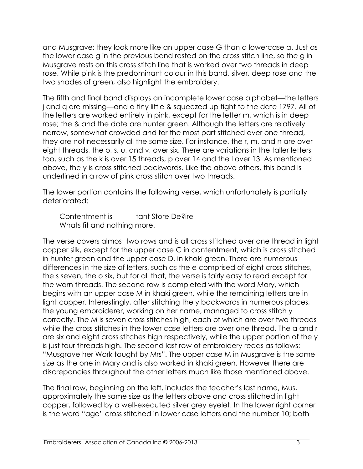and Musgrave: they look more like an upper case G than a lowercase a. Just as the lower case g in the previous band rested on the cross stitch line, so the g in Musgrave rests on this cross stitch line that is worked over two threads in deep rose. While pink is the predominant colour in this band, silver, deep rose and the two shades of green, also highlight the embroidery.

The fifth and final band displays an incomplete lower case alphabet—the letters j and q are missing—and a tiny little & squeezed up tight to the date 1797. All of the letters are worked entirely in pink, except for the letter m, which is in deep rose; the & and the date are hunter green. Although the letters are relatively narrow, somewhat crowded and for the most part stitched over one thread, they are not necessarily all the same size. For instance, the r, m, and n are over eight threads, the o, s, u, and v, over six. There are variations in the taller letters too, such as the k is over 15 threads, p over 14 and the l over 13. As mentioned above, the y is cross stitched backwards. Like the above others, this band is underlined in a row of pink cross stitch over two threads.

The lower portion contains the following verse, which unfortunately is partially deteriorated:

Contentment is - - - - - tant Store De?ire Whats fit and nothing more.

The verse covers almost two rows and is all cross stitched over one thread in light copper silk, except for the upper case C in contentment, which is cross stitched in hunter green and the upper case D, in khaki green. There are numerous differences in the size of letters, such as the e comprised of eight cross stitches, the s seven, the o six, but for all that, the verse is fairly easy to read except for the worn threads. The second row is completed with the word Mary, which begins with an upper case M in khaki green, while the remaining letters are in light copper. Interestingly, after stitching the y backwards in numerous places, the young embroiderer, working on her name, managed to cross stitch y correctly. The M is seven cross stitches high, each of which are over two threads while the cross stitches in the lower case letters are over one thread. The a and r are six and eight cross stitches high respectively, while the upper portion of the y is just four threads high. The second last row of embroidery reads as follows: "Musgrave her Work taught by Mrs". The upper case M in Musgrave is the same size as the one in Mary and is also worked in khaki green. However there are discrepancies throughout the other letters much like those mentioned above.

The final row, beginning on the left, includes the teacher's last name, Mus, approximately the same size as the letters above and cross stitched in light copper, followed by a well-executed silver grey eyelet. In the lower right corner is the word "age" cross stitched in lower case letters and the number 10; both